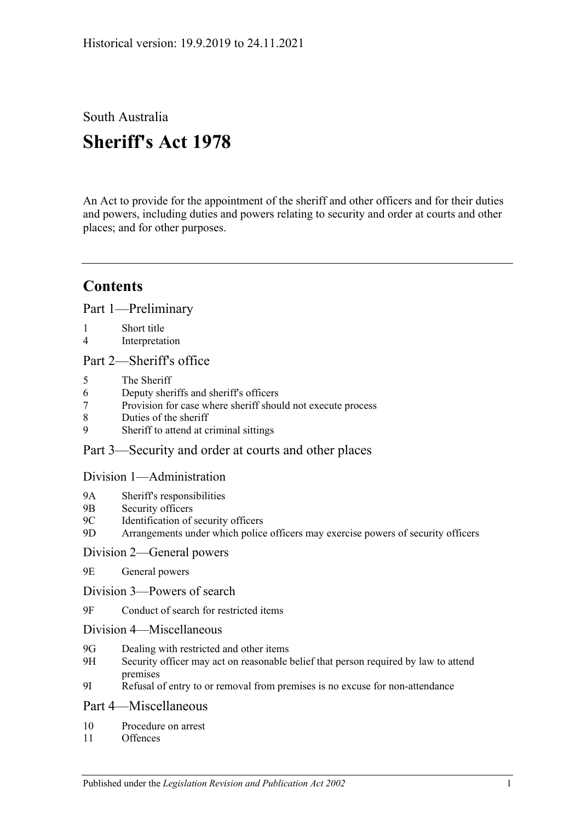# South Australia **Sheriff's Act 1978**

An Act to provide for the appointment of the sheriff and other officers and for their duties and powers, including duties and powers relating to security and order at courts and other places; and for other purposes.

# **Contents**

[Part 1—Preliminary](#page-1-0)

- 1 [Short title](#page-1-1)
- 4 [Interpretation](#page-1-2)

### Part 2-Sheriff's office

- 5 [The Sheriff](#page-2-1)
- 6 [Deputy sheriffs and sheriff's officers](#page-3-0)
- 7 [Provision for case where sheriff should not execute process](#page-3-1)
- 8 [Duties of the sheriff](#page-4-0)
- 9 [Sheriff to attend at criminal sittings](#page-4-1)

### [Part 3—Security and order at courts and other places](#page-4-2)

#### [Division 1—Administration](#page-4-3)

- 9A [Sheriff's responsibilities](#page-4-4)
- 9B [Security officers](#page-4-5)
- 9C [Identification of security officers](#page-4-6)
- 9D [Arrangements under which police officers may exercise powers of security officers](#page-5-0)

#### [Division 2—General powers](#page-5-1)

- 9E [General powers](#page-5-2)
- [Division 3—Powers of search](#page-6-0)
- 9F [Conduct of search for restricted items](#page-6-1)
- [Division 4—Miscellaneous](#page-9-0)
- 9G [Dealing with restricted and other items](#page-9-1)
- 9H [Security officer may act on reasonable belief that person required by law to attend](#page-9-2)  [premises](#page-9-2)
- 9I [Refusal of entry to or removal from premises is](#page-9-3) no excuse for non-attendance

#### [Part 4—Miscellaneous](#page-10-0)

- 10 [Procedure on arrest](#page-10-1)
- 11 [Offences](#page-10-2)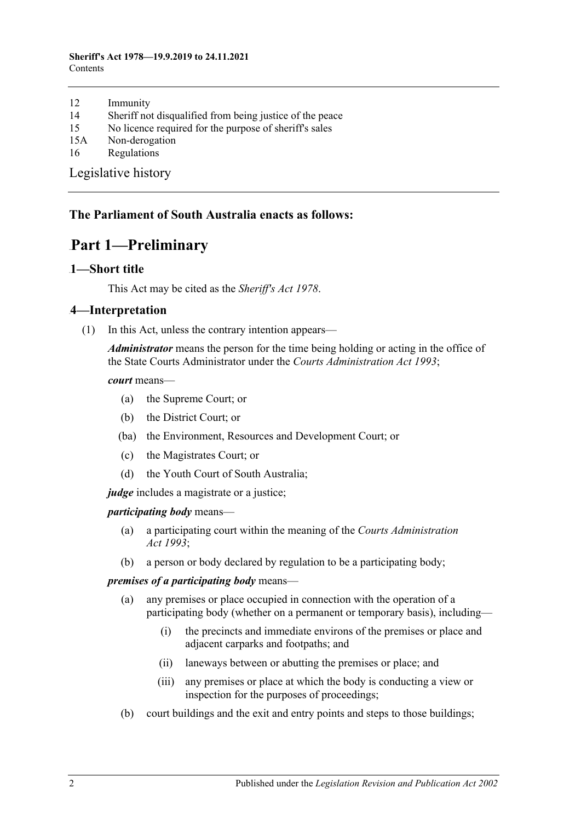#### **Sheriff's Act 1978—19.9.2019 to 24.11.2021** Contents

- 12 [Immunity](#page-10-3)
- 14 [Sheriff not disqualified from being justice of the peace](#page-10-4)
- 15 [No licence required for the purpose of sheriff's sales](#page-10-5)
- 15A [Non-derogation](#page-10-6)
- 16 [Regulations](#page-11-0)

[Legislative history](#page-12-0)

#### <span id="page-1-0"></span>**The Parliament of South Australia enacts as follows:**

## Part 1—Preliminary

#### <span id="page-1-1"></span>1-Short title

This Act may be cited as the *Sheriff's Act 1978*.

#### <span id="page-1-2"></span>1B**4—Interpretation**

(1) In this Act, unless the contrary intention appears—

*Administrator* means the person for the time being holding or acting in the office of the State Courts Administrator under the *[Courts Administration Act](http://www.legislation.sa.gov.au/index.aspx?action=legref&type=act&legtitle=Courts%20Administration%20Act%201993) 1993*;

*court* means—

- (a) the Supreme Court; or
- (b) the District Court; or
- (ba) the Environment, Resources and Development Court; or
- (c) the Magistrates Court; or
- (d) the Youth Court of South Australia;

*judge* includes a magistrate or a justice;

*participating body* means—

- (a) a participating court within the meaning of the *[Courts Administration](http://www.legislation.sa.gov.au/index.aspx?action=legref&type=act&legtitle=Courts%20Administration%20Act%201993)  Act [1993](http://www.legislation.sa.gov.au/index.aspx?action=legref&type=act&legtitle=Courts%20Administration%20Act%201993)*;
- (b) a person or body declared by regulation to be a participating body;

#### *premises of a participating body* means—

- (a) any premises or place occupied in connection with the operation of a participating body (whether on a permanent or temporary basis), including—
	- (i) the precincts and immediate environs of the premises or place and adjacent carparks and footpaths; and
	- (ii) laneways between or abutting the premises or place; and
	- (iii) any premises or place at which the body is conducting a view or inspection for the purposes of proceedings;
- (b) court buildings and the exit and entry points and steps to those buildings;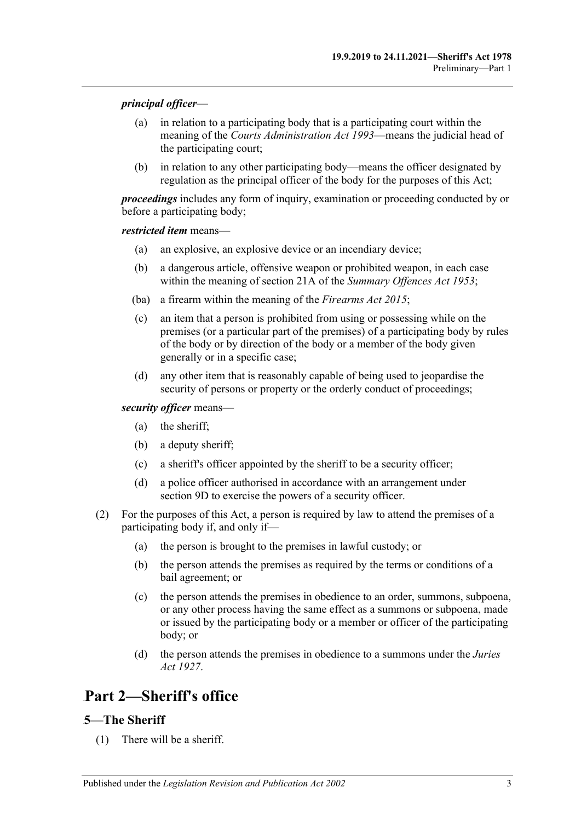#### *principal officer*—

- (a) in relation to a participating body that is a participating court within the meaning of the *[Courts Administration Act](http://www.legislation.sa.gov.au/index.aspx?action=legref&type=act&legtitle=Courts%20Administration%20Act%201993) 1993*—means the judicial head of the participating court;
- (b) in relation to any other participating body—means the officer designated by regulation as the principal officer of the body for the purposes of this Act;

*proceedings* includes any form of inquiry, examination or proceeding conducted by or before a participating body;

#### *restricted item* means—

- (a) an explosive, an explosive device or an incendiary device;
- (b) a dangerous article, offensive weapon or prohibited weapon, in each case within the meaning of section 21A of the *[Summary Offences Act](http://www.legislation.sa.gov.au/index.aspx?action=legref&type=act&legtitle=Summary%20Offences%20Act%201953) 1953*;
- (ba) a firearm within the meaning of the *[Firearms Act](http://www.legislation.sa.gov.au/index.aspx?action=legref&type=act&legtitle=Firearms%20Act%202015) 2015*;
- (c) an item that a person is prohibited from using or possessing while on the premises (or a particular part of the premises) of a participating body by rules of the body or by direction of the body or a member of the body given generally or in a specific case;
- (d) any other item that is reasonably capable of being used to jeopardise the security of persons or property or the orderly conduct of proceedings;

#### *security officer* means—

- (a) the sheriff;
- (b) a deputy sheriff;
- (c) a sheriff's officer appointed by the sheriff to be a security officer;
- (d) a police officer authorised in accordance with an arrangement under [section](#page-5-0) 9D to exercise the powers of a security officer.
- (2) For the purposes of this Act, a person is required by law to attend the premises of a participating body if, and only if—
	- (a) the person is brought to the premises in lawful custody; or
	- (b) the person attends the premises as required by the terms or conditions of a bail agreement; or
	- (c) the person attends the premises in obedience to an order, summons, subpoena, or any other process having the same effect as a summons or subpoena, made or issued by the participating body or a member or officer of the participating body; or
	- (d) the person attends the premises in obedience to a summons under the *[Juries](http://www.legislation.sa.gov.au/index.aspx?action=legref&type=act&legtitle=Juries%20Act%201927)  Act [1927](http://www.legislation.sa.gov.au/index.aspx?action=legref&type=act&legtitle=Juries%20Act%201927)*.

## <span id="page-2-0"></span>Part 2-Sheriff's office

## <span id="page-2-1"></span>5—The Sheriff

(1) There will be a sheriff.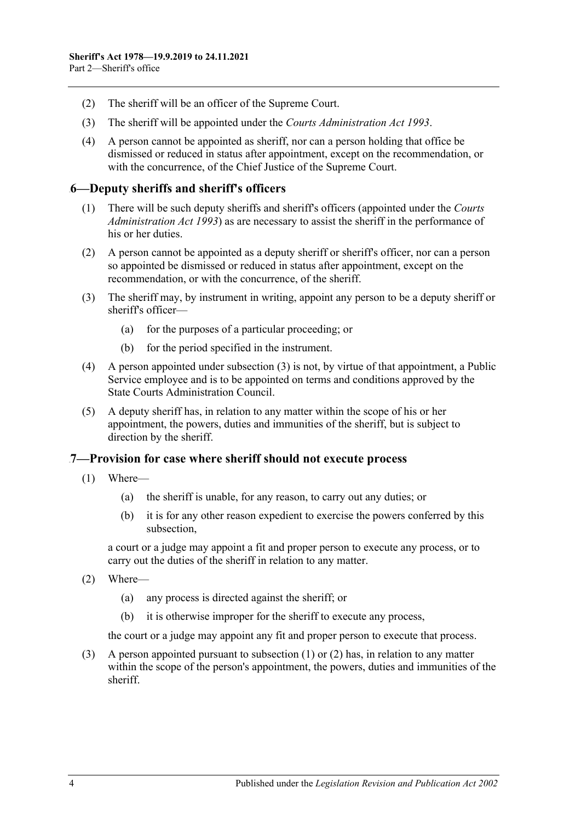- (2) The sheriff will be an officer of the Supreme Court.
- (3) The sheriff will be appointed under the *[Courts Administration Act](http://www.legislation.sa.gov.au/index.aspx?action=legref&type=act&legtitle=Courts%20Administration%20Act%201993) 1993*.
- (4) A person cannot be appointed as sheriff, nor can a person holding that office be dismissed or reduced in status after appointment, except on the recommendation, or with the concurrence, of the Chief Justice of the Supreme Court.

### <span id="page-3-0"></span>3B**6—Deputy sheriffs and sheriff's officers**

- (1) There will be such deputy sheriffs and sheriff's officers (appointed under the *[Courts](http://www.legislation.sa.gov.au/index.aspx?action=legref&type=act&legtitle=Courts%20Administration%20Act%201993)  [Administration Act](http://www.legislation.sa.gov.au/index.aspx?action=legref&type=act&legtitle=Courts%20Administration%20Act%201993) 1993*) as are necessary to assist the sheriff in the performance of his or her duties.
- (2) A person cannot be appointed as a deputy sheriff or sheriff's officer, nor can a person so appointed be dismissed or reduced in status after appointment, except on the recommendation, or with the concurrence, of the sheriff.
- <span id="page-3-2"></span>(3) The sheriff may, by instrument in writing, appoint any person to be a deputy sheriff or sheriff's officer—
	- (a) for the purposes of a particular proceeding; or
	- (b) for the period specified in the instrument.
- (4) A person appointed under [subsection](#page-3-2) (3) is not, by virtue of that appointment, a Public Service employee and is to be appointed on terms and conditions approved by the State Courts Administration Council.
- (5) A deputy sheriff has, in relation to any matter within the scope of his or her appointment, the powers, duties and immunities of the sheriff, but is subject to direction by the sheriff.

#### <span id="page-3-3"></span><span id="page-3-1"></span>4B**7—Provision for case where sheriff should not execute process**

- (1) Where—
	- (a) the sheriff is unable, for any reason, to carry out any duties; or
	- (b) it is for any other reason expedient to exercise the powers conferred by this subsection,

a court or a judge may appoint a fit and proper person to execute any process, or to carry out the duties of the sheriff in relation to any matter.

- <span id="page-3-4"></span>(2) Where—
	- (a) any process is directed against the sheriff; or
	- (b) it is otherwise improper for the sheriff to execute any process,

the court or a judge may appoint any fit and proper person to execute that process.

(3) A person appointed pursuant to [subsection](#page-3-3) (1) or [\(2\)](#page-3-4) has, in relation to any matter within the scope of the person's appointment, the powers, duties and immunities of the sheriff.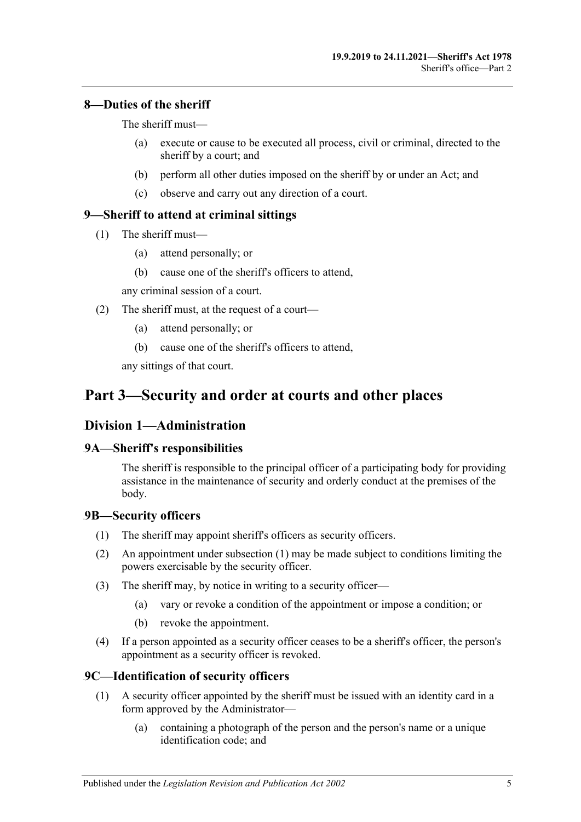## <span id="page-4-0"></span>5B**8—Duties of the sheriff**

The sheriff must—

- (a) execute or cause to be executed all process, civil or criminal, directed to the sheriff by a court; and
- (b) perform all other duties imposed on the sheriff by or under an Act; and
- (c) observe and carry out any direction of a court.

## <span id="page-4-1"></span>6B**9—Sheriff to attend at criminal sittings**

- (1) The sheriff must—
	- (a) attend personally; or
	- (b) cause one of the sheriff's officers to attend,

any criminal session of a court.

- (2) The sheriff must, at the request of a court—
	- (a) attend personally; or
	- (b) cause one of the sheriff's officers to attend,

any sittings of that court.

# <span id="page-4-3"></span><span id="page-4-2"></span>30B**Part 3—Security and order at courts and other places**

## 23B**Division 1—Administration**

## <span id="page-4-4"></span>14B**9A—Sheriff's responsibilities**

The sheriff is responsible to the principal officer of a participating body for providing assistance in the maintenance of security and orderly conduct at the premises of the body.

## <span id="page-4-7"></span><span id="page-4-5"></span>15B**9B—Security officers**

- (1) The sheriff may appoint sheriff's officers as security officers.
- (2) An appointment under [subsection](#page-4-7) (1) may be made subject to conditions limiting the powers exercisable by the security officer.
- (3) The sheriff may, by notice in writing to a security officer—
	- (a) vary or revoke a condition of the appointment or impose a condition; or
	- (b) revoke the appointment.
- (4) If a person appointed as a security officer ceases to be a sheriff's officer, the person's appointment as a security officer is revoked.

## <span id="page-4-6"></span>16B**9C—Identification of security officers**

- (1) A security officer appointed by the sheriff must be issued with an identity card in a form approved by the Administrator—
	- (a) containing a photograph of the person and the person's name or a unique identification code; and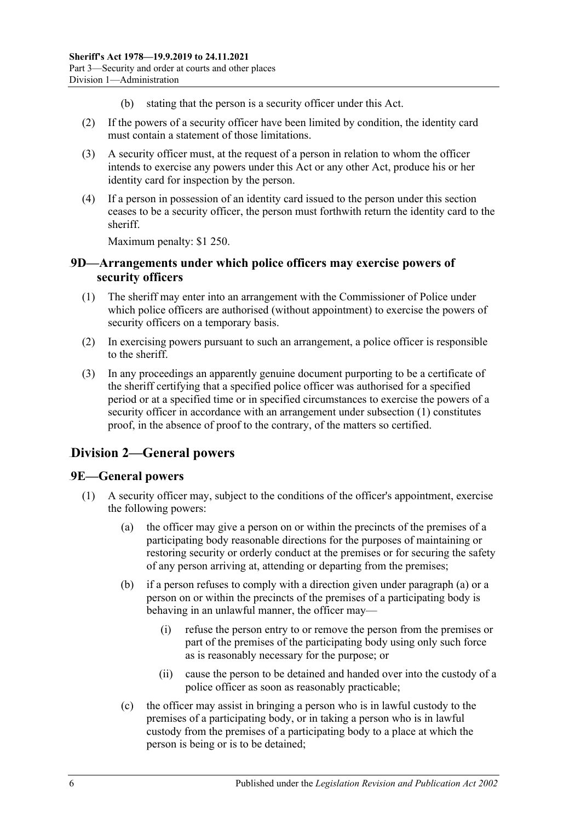- (b) stating that the person is a security officer under this Act.
- (2) If the powers of a security officer have been limited by condition, the identity card must contain a statement of those limitations.
- (3) A security officer must, at the request of a person in relation to whom the officer intends to exercise any powers under this Act or any other Act, produce his or her identity card for inspection by the person.
- (4) If a person in possession of an identity card issued to the person under this section ceases to be a security officer, the person must forthwith return the identity card to the sheriff.

Maximum penalty: \$1 250.

#### <span id="page-5-0"></span>17B**9D—Arrangements under which police officers may exercise powers of security officers**

- <span id="page-5-3"></span>(1) The sheriff may enter into an arrangement with the Commissioner of Police under which police officers are authorised (without appointment) to exercise the powers of security officers on a temporary basis.
- (2) In exercising powers pursuant to such an arrangement, a police officer is responsible to the sheriff.
- (3) In any proceedings an apparently genuine document purporting to be a certificate of the sheriff certifying that a specified police officer was authorised for a specified period or at a specified time or in specified circumstances to exercise the powers of a security officer in accordance with an arrangement under [subsection](#page-5-3) (1) constitutes proof, in the absence of proof to the contrary, of the matters so certified.

## <span id="page-5-1"></span>24B**Division 2—General powers**

#### <span id="page-5-2"></span>18B**9E—General powers**

- <span id="page-5-4"></span>(1) A security officer may, subject to the conditions of the officer's appointment, exercise the following powers:
	- (a) the officer may give a person on or within the precincts of the premises of a participating body reasonable directions for the purposes of maintaining or restoring security or orderly conduct at the premises or for securing the safety of any person arriving at, attending or departing from the premises;
	- (b) if a person refuses to comply with a direction given under [paragraph](#page-5-4) (a) or a person on or within the precincts of the premises of a participating body is behaving in an unlawful manner, the officer may—
		- (i) refuse the person entry to or remove the person from the premises or part of the premises of the participating body using only such force as is reasonably necessary for the purpose; or
		- (ii) cause the person to be detained and handed over into the custody of a police officer as soon as reasonably practicable;
	- (c) the officer may assist in bringing a person who is in lawful custody to the premises of a participating body, or in taking a person who is in lawful custody from the premises of a participating body to a place at which the person is being or is to be detained;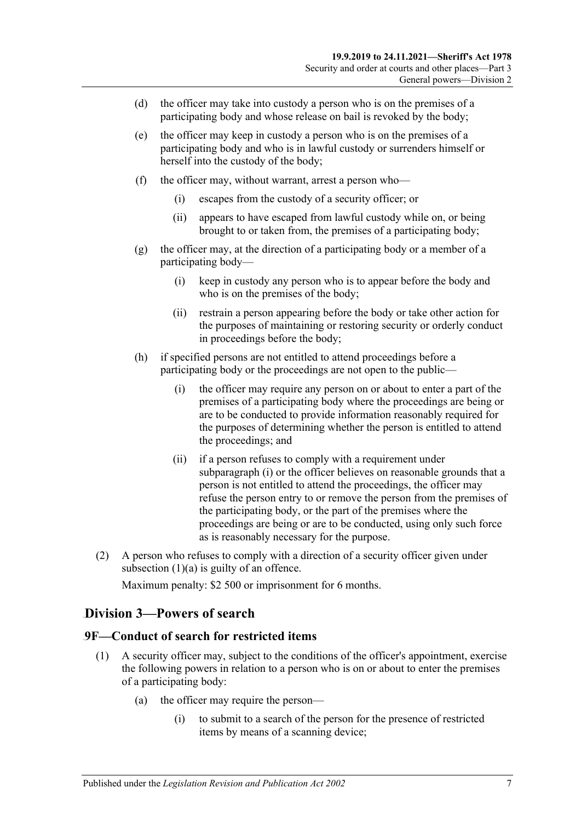- (d) the officer may take into custody a person who is on the premises of a participating body and whose release on bail is revoked by the body;
- (e) the officer may keep in custody a person who is on the premises of a participating body and who is in lawful custody or surrenders himself or herself into the custody of the body;
- (f) the officer may, without warrant, arrest a person who—
	- (i) escapes from the custody of a security officer; or
	- (ii) appears to have escaped from lawful custody while on, or being brought to or taken from, the premises of a participating body;
- (g) the officer may, at the direction of a participating body or a member of a participating body—
	- (i) keep in custody any person who is to appear before the body and who is on the premises of the body;
	- (ii) restrain a person appearing before the body or take other action for the purposes of maintaining or restoring security or orderly conduct in proceedings before the body;
- <span id="page-6-2"></span>(h) if specified persons are not entitled to attend proceedings before a participating body or the proceedings are not open to the public—
	- (i) the officer may require any person on or about to enter a part of the premises of a participating body where the proceedings are being or are to be conducted to provide information reasonably required for the purposes of determining whether the person is entitled to attend the proceedings; and
	- (ii) if a person refuses to comply with a requirement under [subparagraph](#page-6-2) (i) or the officer believes on reasonable grounds that a person is not entitled to attend the proceedings, the officer may refuse the person entry to or remove the person from the premises of the participating body, or the part of the premises where the proceedings are being or are to be conducted, using only such force as is reasonably necessary for the purpose.
- (2) A person who refuses to comply with a direction of a security officer given under [subsection](#page-5-4)  $(1)(a)$  is guilty of an offence.

Maximum penalty: \$2 500 or imprisonment for 6 months.

### <span id="page-6-0"></span>25B**Division 3—Powers of search**

### <span id="page-6-3"></span><span id="page-6-1"></span>19B**9F—Conduct of search for restricted items**

- <span id="page-6-4"></span>(1) A security officer may, subject to the conditions of the officer's appointment, exercise the following powers in relation to a person who is on or about to enter the premises of a participating body:
	- (a) the officer may require the person—
		- (i) to submit to a search of the person for the presence of restricted items by means of a scanning device;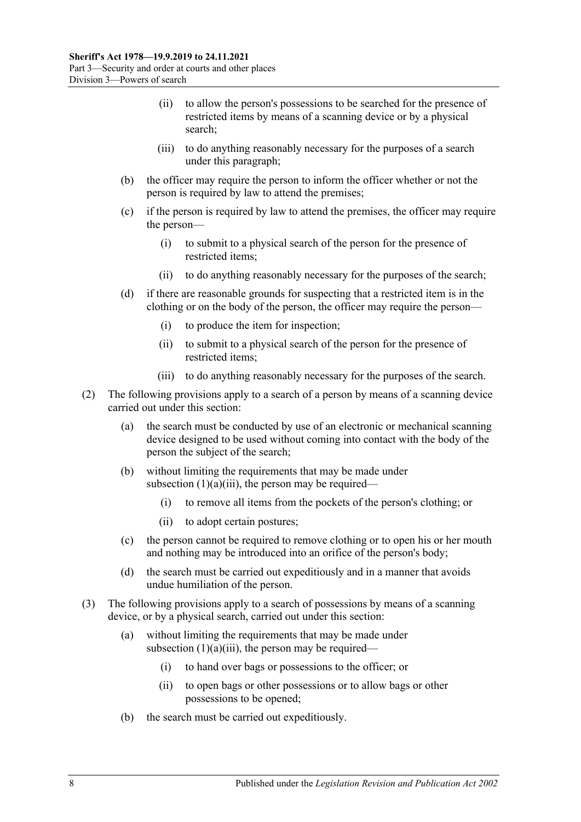- (ii) to allow the person's possessions to be searched for the presence of restricted items by means of a scanning device or by a physical search;
- (iii) to do anything reasonably necessary for the purposes of a search under this paragraph;
- <span id="page-7-3"></span><span id="page-7-0"></span>(b) the officer may require the person to inform the officer whether or not the person is required by law to attend the premises;
- (c) if the person is required by law to attend the premises, the officer may require the person—
	- (i) to submit to a physical search of the person for the presence of restricted items;
	- (ii) to do anything reasonably necessary for the purposes of the search;
- <span id="page-7-1"></span>(d) if there are reasonable grounds for suspecting that a restricted item is in the clothing or on the body of the person, the officer may require the person—
	- (i) to produce the item for inspection;
	- (ii) to submit to a physical search of the person for the presence of restricted items;
	- (iii) to do anything reasonably necessary for the purposes of the search.
- <span id="page-7-2"></span>(2) The following provisions apply to a search of a person by means of a scanning device carried out under this section:
	- (a) the search must be conducted by use of an electronic or mechanical scanning device designed to be used without coming into contact with the body of the person the subject of the search;
	- (b) without limiting the requirements that may be made under [subsection](#page-7-0)  $(1)(a)(iii)$ , the person may be required—
		- (i) to remove all items from the pockets of the person's clothing; or
		- (ii) to adopt certain postures;
	- (c) the person cannot be required to remove clothing or to open his or her mouth and nothing may be introduced into an orifice of the person's body;
	- (d) the search must be carried out expeditiously and in a manner that avoids undue humiliation of the person.
- (3) The following provisions apply to a search of possessions by means of a scanning device, or by a physical search, carried out under this section:
	- (a) without limiting the requirements that may be made under [subsection](#page-7-0)  $(1)(a)(iii)$ , the person may be required—
		- (i) to hand over bags or possessions to the officer; or
		- (ii) to open bags or other possessions or to allow bags or other possessions to be opened;
	- (b) the search must be carried out expeditiously.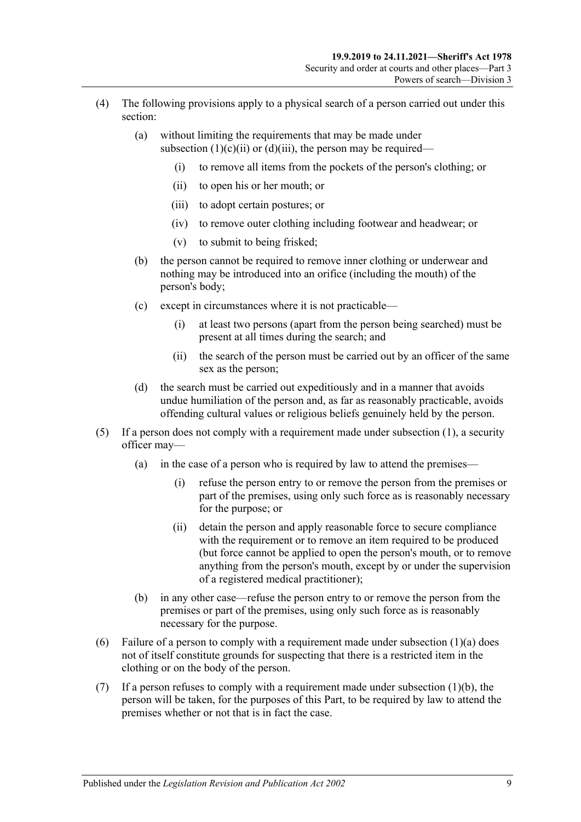- (4) The following provisions apply to a physical search of a person carried out under this section:
	- (a) without limiting the requirements that may be made under [subsection](#page-7-1)  $(1)(c)(ii)$  or  $(d)(iii)$ , the person may be required—
		- (i) to remove all items from the pockets of the person's clothing; or
		- (ii) to open his or her mouth; or
		- (iii) to adopt certain postures; or
		- (iv) to remove outer clothing including footwear and headwear; or
		- (v) to submit to being frisked;
	- (b) the person cannot be required to remove inner clothing or underwear and nothing may be introduced into an orifice (including the mouth) of the person's body;
	- (c) except in circumstances where it is not practicable—
		- (i) at least two persons (apart from the person being searched) must be present at all times during the search; and
		- (ii) the search of the person must be carried out by an officer of the same sex as the person;
	- (d) the search must be carried out expeditiously and in a manner that avoids undue humiliation of the person and, as far as reasonably practicable, avoids offending cultural values or religious beliefs genuinely held by the person.
- (5) If a person does not comply with a requirement made under [subsection](#page-6-3) (1), a security officer may—
	- (a) in the case of a person who is required by law to attend the premises—
		- (i) refuse the person entry to or remove the person from the premises or part of the premises, using only such force as is reasonably necessary for the purpose; or
		- (ii) detain the person and apply reasonable force to secure compliance with the requirement or to remove an item required to be produced (but force cannot be applied to open the person's mouth, or to remove anything from the person's mouth, except by or under the supervision of a registered medical practitioner);
	- (b) in any other case—refuse the person entry to or remove the person from the premises or part of the premises, using only such force as is reasonably necessary for the purpose.
- (6) Failure of a person to comply with a requirement made under [subsection](#page-6-4)  $(1)(a)$  does not of itself constitute grounds for suspecting that there is a restricted item in the clothing or on the body of the person.
- (7) If a person refuses to comply with a requirement made under [subsection](#page-7-3)  $(1)(b)$ , the person will be taken, for the purposes of this Part, to be required by law to attend the premises whether or not that is in fact the case.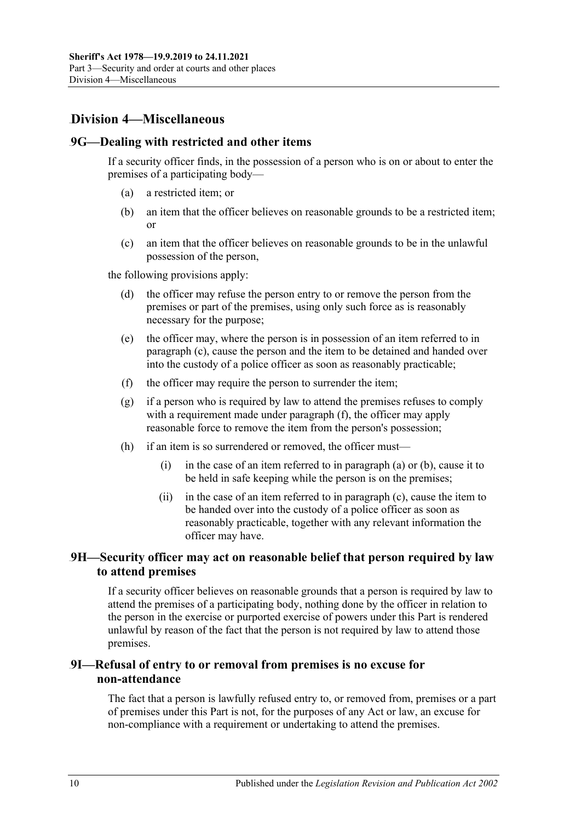## <span id="page-9-0"></span>26B**Division 4—Miscellaneous**

#### <span id="page-9-6"></span><span id="page-9-1"></span>20B**9G—Dealing with restricted and other items**

If a security officer finds, in the possession of a person who is on or about to enter the premises of a participating body—

- (a) a restricted item; or
- <span id="page-9-7"></span>(b) an item that the officer believes on reasonable grounds to be a restricted item; or
- <span id="page-9-4"></span>(c) an item that the officer believes on reasonable grounds to be in the unlawful possession of the person,

the following provisions apply:

- (d) the officer may refuse the person entry to or remove the person from the premises or part of the premises, using only such force as is reasonably necessary for the purpose;
- (e) the officer may, where the person is in possession of an item referred to in [paragraph](#page-9-4) (c), cause the person and the item to be detained and handed over into the custody of a police officer as soon as reasonably practicable;
- <span id="page-9-5"></span>(f) the officer may require the person to surrender the item;
- (g) if a person who is required by law to attend the premises refuses to comply with a requirement made under [paragraph](#page-9-5) (f), the officer may apply reasonable force to remove the item from the person's possession;
- (h) if an item is so surrendered or removed, the officer must
	- (i) in the case of an item referred to in [paragraph](#page-9-6) (a) or [\(b\),](#page-9-7) cause it to be held in safe keeping while the person is on the premises;
	- (ii) in the case of an item referred to in [paragraph](#page-9-4) (c), cause the item to be handed over into the custody of a police officer as soon as reasonably practicable, together with any relevant information the officer may have.

### <span id="page-9-2"></span>21B**9H—Security officer may act on reasonable belief that person required by law to attend premises**

If a security officer believes on reasonable grounds that a person is required by law to attend the premises of a participating body, nothing done by the officer in relation to the person in the exercise or purported exercise of powers under this Part is rendered unlawful by reason of the fact that the person is not required by law to attend those premises.

### <span id="page-9-3"></span>22B**9I—Refusal of entry to or removal from premises is no excuse for non-attendance**

The fact that a person is lawfully refused entry to, or removed from, premises or a part of premises under this Part is not, for the purposes of any Act or law, an excuse for non-compliance with a requirement or undertaking to attend the premises.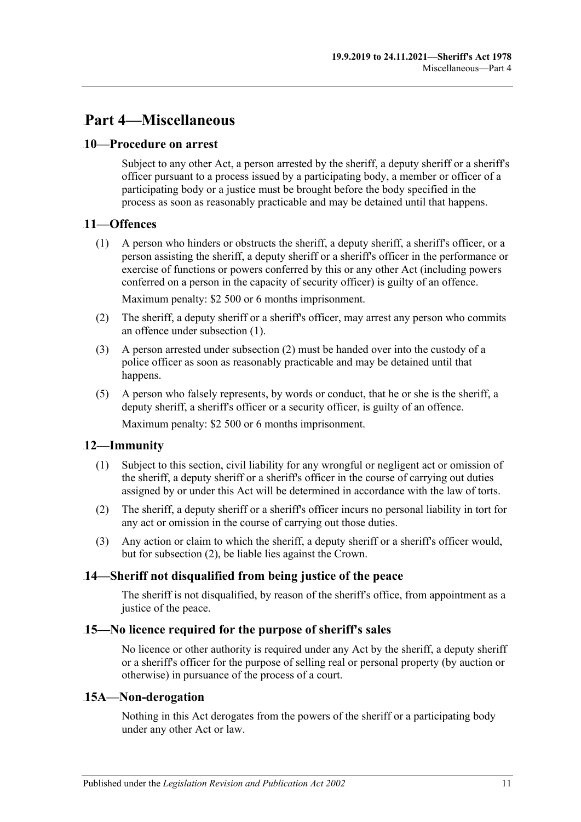# <span id="page-10-0"></span>31B**Part 4—Miscellaneous**

### <span id="page-10-1"></span>7B**10—Procedure on arrest**

Subject to any other Act, a person arrested by the sheriff, a deputy sheriff or a sheriff's officer pursuant to a process issued by a participating body, a member or officer of a participating body or a justice must be brought before the body specified in the process as soon as reasonably practicable and may be detained until that happens.

### <span id="page-10-7"></span><span id="page-10-2"></span>8B**11—Offences**

(1) A person who hinders or obstructs the sheriff, a deputy sheriff, a sheriff's officer, or a person assisting the sheriff, a deputy sheriff or a sheriff's officer in the performance or exercise of functions or powers conferred by this or any other Act (including powers conferred on a person in the capacity of security officer) is guilty of an offence.

Maximum penalty: \$2 500 or 6 months imprisonment.

- <span id="page-10-8"></span>(2) The sheriff, a deputy sheriff or a sheriff's officer, may arrest any person who commits an offence under [subsection](#page-10-7) (1).
- (3) A person arrested under [subsection](#page-10-8) (2) must be handed over into the custody of a police officer as soon as reasonably practicable and may be detained until that happens.
- (5) A person who falsely represents, by words or conduct, that he or she is the sheriff, a deputy sheriff, a sheriff's officer or a security officer, is guilty of an offence. Maximum penalty: \$2 500 or 6 months imprisonment.

## <span id="page-10-3"></span>9B**12—Immunity**

- (1) Subject to this section, civil liability for any wrongful or negligent act or omission of the sheriff, a deputy sheriff or a sheriff's officer in the course of carrying out duties assigned by or under this Act will be determined in accordance with the law of torts.
- <span id="page-10-9"></span>(2) The sheriff, a deputy sheriff or a sheriff's officer incurs no personal liability in tort for any act or omission in the course of carrying out those duties.
- (3) Any action or claim to which the sheriff, a deputy sheriff or a sheriff's officer would, but for [subsection](#page-10-9) (2), be liable lies against the Crown.

## <span id="page-10-4"></span>10B**14—Sheriff not disqualified from being justice of the peace**

The sheriff is not disqualified, by reason of the sheriff's office, from appointment as a justice of the peace.

### <span id="page-10-5"></span>11B**15—No licence required for the purpose of sheriff's sales**

No licence or other authority is required under any Act by the sheriff, a deputy sheriff or a sheriff's officer for the purpose of selling real or personal property (by auction or otherwise) in pursuance of the process of a court.

### <span id="page-10-6"></span>12B**15A—Non-derogation**

Nothing in this Act derogates from the powers of the sheriff or a participating body under any other Act or law.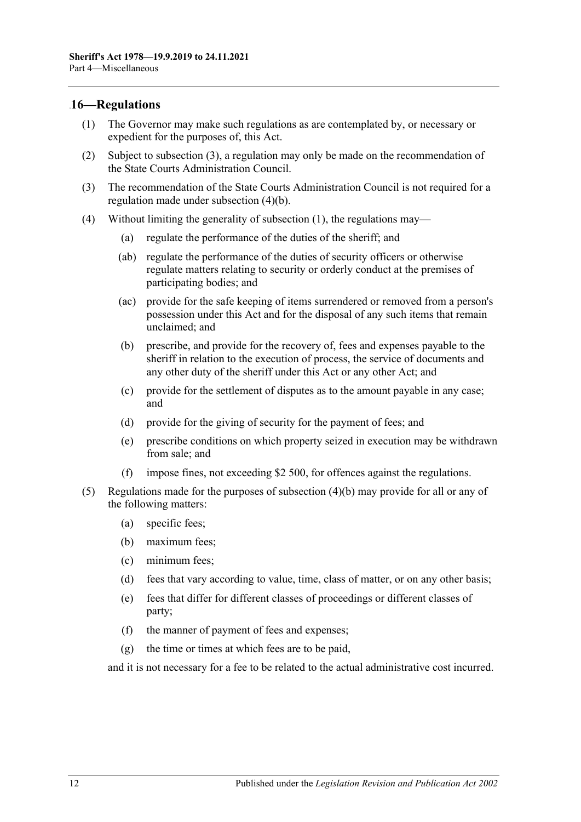#### <span id="page-11-3"></span><span id="page-11-0"></span>13B**16—Regulations**

- (1) The Governor may make such regulations as are contemplated by, or necessary or expedient for the purposes of, this Act.
- (2) Subject to [subsection](#page-11-1) (3), a regulation may only be made on the recommendation of the State Courts Administration Council.
- <span id="page-11-1"></span>(3) The recommendation of the State Courts Administration Council is not required for a regulation made under [subsection](#page-11-2) (4)(b).
- <span id="page-11-2"></span>(4) Without limiting the generality of [subsection](#page-11-3) (1), the regulations may—
	- (a) regulate the performance of the duties of the sheriff; and
	- (ab) regulate the performance of the duties of security officers or otherwise regulate matters relating to security or orderly conduct at the premises of participating bodies; and
	- (ac) provide for the safe keeping of items surrendered or removed from a person's possession under this Act and for the disposal of any such items that remain unclaimed; and
	- (b) prescribe, and provide for the recovery of, fees and expenses payable to the sheriff in relation to the execution of process, the service of documents and any other duty of the sheriff under this Act or any other Act; and
	- (c) provide for the settlement of disputes as to the amount payable in any case; and
	- (d) provide for the giving of security for the payment of fees; and
	- (e) prescribe conditions on which property seized in execution may be withdrawn from sale; and
	- (f) impose fines, not exceeding \$2 500, for offences against the regulations.
- (5) Regulations made for the purposes of [subsection](#page-11-2) (4)(b) may provide for all or any of the following matters:
	- (a) specific fees;
	- (b) maximum fees;
	- (c) minimum fees;
	- (d) fees that vary according to value, time, class of matter, or on any other basis;
	- (e) fees that differ for different classes of proceedings or different classes of party;
	- (f) the manner of payment of fees and expenses;
	- (g) the time or times at which fees are to be paid,

and it is not necessary for a fee to be related to the actual administrative cost incurred.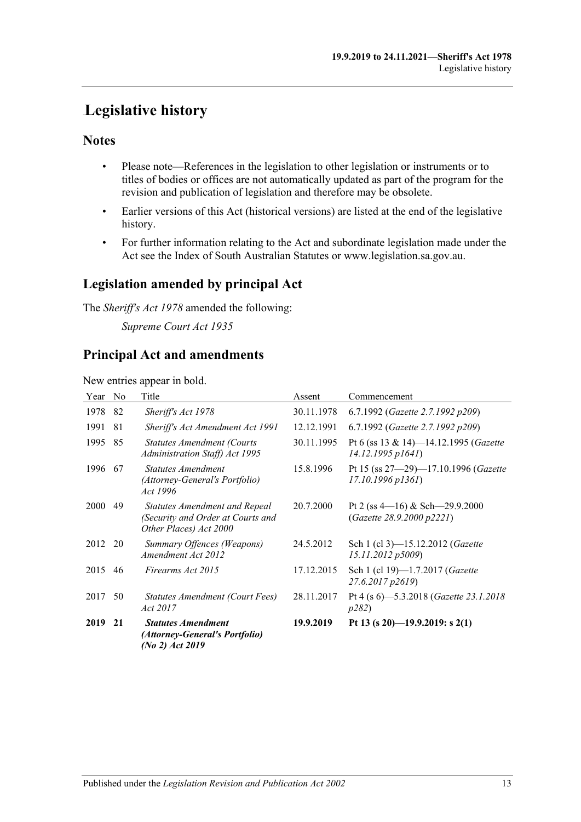# <span id="page-12-0"></span>**Legislative history**

## **Notes**

- Please note—References in the legislation to other legislation or instruments or to titles of bodies or offices are not automatically updated as part of the program for the revision and publication of legislation and therefore may be obsolete.
- Earlier versions of this Act (historical versions) are listed at the end of the legislative history.
- For further information relating to the Act and subordinate legislation made under the Act see the Index of South Australian Statutes or www.legislation.sa.gov.au.

## **Legislation amended by principal Act**

The *Sheriff's Act 1978* amended the following:

*Supreme Court Act 1935*

## **Principal Act and amendments**

New entries appear in bold.

| Year    | N <sub>0</sub> | Title                                                                                               | Assent     | Commencement                                                            |
|---------|----------------|-----------------------------------------------------------------------------------------------------|------------|-------------------------------------------------------------------------|
| 1978    | 82             | Sheriff's Act 1978                                                                                  | 30.11.1978 | 6.7.1992 (Gazette 2.7.1992 p209)                                        |
| 1991    | 81             | Sheriff's Act Amendment Act 1991                                                                    | 12.12.1991 | 6.7.1992 (Gazette 2.7.1992 p209)                                        |
| 1995    | 85             | <b>Statutes Amendment (Courts)</b><br><b>Administration Staff) Act 1995</b>                         | 30.11.1995 | Pt 6 (ss 13 & 14)—14.12.1995 ( <i>Gazette</i><br>$14.12.1995$ $p1641$ ) |
| 1996    | 67             | Statutes Amendment<br>(Attorney-General's Portfolio)<br>Act 1996                                    | 15.8.1996  | Pt 15 (ss 27-29)-17.10.1996 (Gazette<br>$17.10.1996$ $p1361$ )          |
| 2000    | 49             | <b>Statutes Amendment and Repeal</b><br>(Security and Order at Courts and<br>Other Places) Act 2000 | 20.7.2000  | Pt 2 (ss $4-16$ ) & Sch $-29.9.2000$<br>(Gazette 28.9.2000 p2221)       |
| 2012 20 |                | Summary Offences (Weapons)<br>Amendment Act 2012                                                    | 24.5.2012  | Sch 1 (cl 3)-15.12.2012 (Gazette<br>15.11.2012 p5009)                   |
| 2015    | 46             | Firearms Act 2015                                                                                   | 17.12.2015 | Sch 1 (cl 19)-1.7.2017 (Gazette<br>27.6.2017 p2619)                     |
| 2017    | 50             | Statutes Amendment (Court Fees)<br>Act 2017                                                         | 28.11.2017 | Pt 4 (s 6)-5.3.2018 (Gazette 23.1.2018<br>p282)                         |
| 2019    | 21             | <b>Statutes Amendment</b><br>(Attorney-General's Portfolio)<br>(No 2) Act 2019                      | 19.9.2019  | Pt 13 (s 20)-19.9.2019: s 2(1)                                          |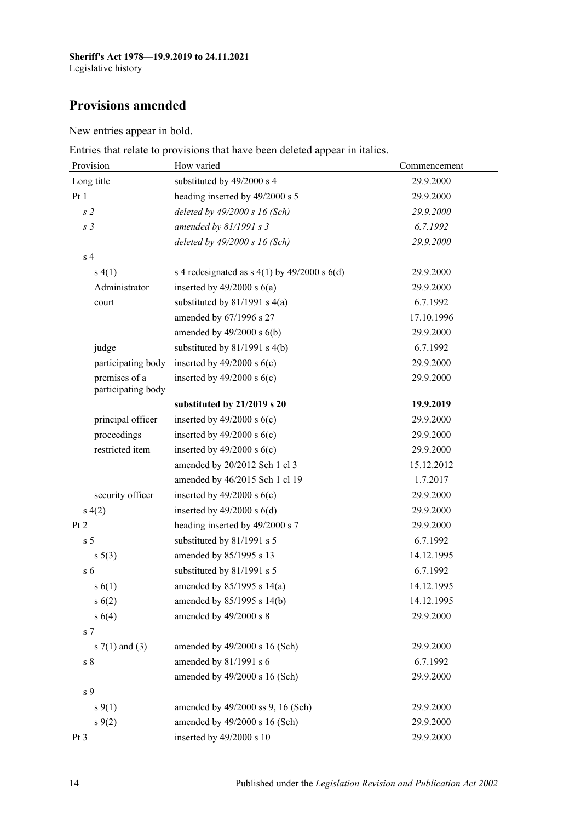## **Provisions amended**

New entries appear in bold.

Entries that relate to provisions that have been deleted appear in italics.

| Provision                           | How varied                                         | Commencement |  |
|-------------------------------------|----------------------------------------------------|--------------|--|
| Long title                          | substituted by 49/2000 s 4                         | 29.9.2000    |  |
| Pt 1                                | heading inserted by 49/2000 s 5                    | 29.9.2000    |  |
| s <sub>2</sub>                      | deleted by $49/2000 s 16$ (Sch)                    | 29.9.2000    |  |
| s <sub>3</sub>                      | amended by $81/1991 s 3$                           | 6.7.1992     |  |
|                                     | deleted by $49/2000 s 16$ (Sch)                    | 29.9.2000    |  |
| s <sub>4</sub>                      |                                                    |              |  |
| s(4(1))                             | s 4 redesignated as s $4(1)$ by $49/2000$ s $6(d)$ | 29.9.2000    |  |
| Administrator                       | inserted by $49/2000$ s $6(a)$                     | 29.9.2000    |  |
| court                               | substituted by $81/1991$ s $4(a)$                  | 6.7.1992     |  |
|                                     | amended by 67/1996 s 27                            | 17.10.1996   |  |
|                                     | amended by $49/2000$ s $6(b)$                      | 29.9.2000    |  |
| judge                               | substituted by 81/1991 s 4(b)                      | 6.7.1992     |  |
| participating body                  | inserted by $49/2000$ s $6(c)$                     | 29.9.2000    |  |
| premises of a<br>participating body | inserted by $49/2000$ s $6(c)$                     | 29.9.2000    |  |
|                                     | substituted by 21/2019 s 20                        | 19.9.2019    |  |
| principal officer                   | inserted by $49/2000$ s $6(c)$                     | 29.9.2000    |  |
| proceedings                         | inserted by $49/2000$ s $6(c)$                     | 29.9.2000    |  |
| restricted item                     | inserted by $49/2000$ s $6(c)$                     | 29.9.2000    |  |
|                                     | amended by 20/2012 Sch 1 cl 3                      | 15.12.2012   |  |
|                                     | amended by 46/2015 Sch 1 cl 19                     | 1.7.2017     |  |
| security officer                    | inserted by $49/2000$ s $6(c)$                     | 29.9.2000    |  |
| s(4(2)                              | inserted by $49/2000$ s $6(d)$                     | 29.9.2000    |  |
| Pt 2                                | heading inserted by 49/2000 s 7                    | 29.9.2000    |  |
| s <sub>5</sub>                      | substituted by 81/1991 s 5                         | 6.7.1992     |  |
| $s \ 5(3)$                          | amended by 85/1995 s 13                            | 14.12.1995   |  |
| $\sqrt{5}$                          | substituted by 81/1991 s 5                         | 6.7.1992     |  |
| s(6(1))                             | amended by $85/1995$ s $14(a)$                     | 14.12.1995   |  |
| s(6(2))                             | amended by 85/1995 s 14(b)                         | 14.12.1995   |  |
| s(4)                                | amended by 49/2000 s 8                             | 29.9.2000    |  |
| s <sub>7</sub>                      |                                                    |              |  |
| s $7(1)$ and $(3)$                  | amended by 49/2000 s 16 (Sch)                      | 29.9.2000    |  |
| s <sub>8</sub>                      | amended by 81/1991 s 6                             | 6.7.1992     |  |
|                                     | amended by 49/2000 s 16 (Sch)                      | 29.9.2000    |  |
| s 9                                 |                                                    |              |  |
| $s \, 9(1)$                         | amended by 49/2000 ss 9, 16 (Sch)                  | 29.9.2000    |  |
| $s \, 9(2)$                         | amended by 49/2000 s 16 (Sch)                      | 29.9.2000    |  |
| Pt <sub>3</sub>                     | inserted by 49/2000 s 10                           | 29.9.2000    |  |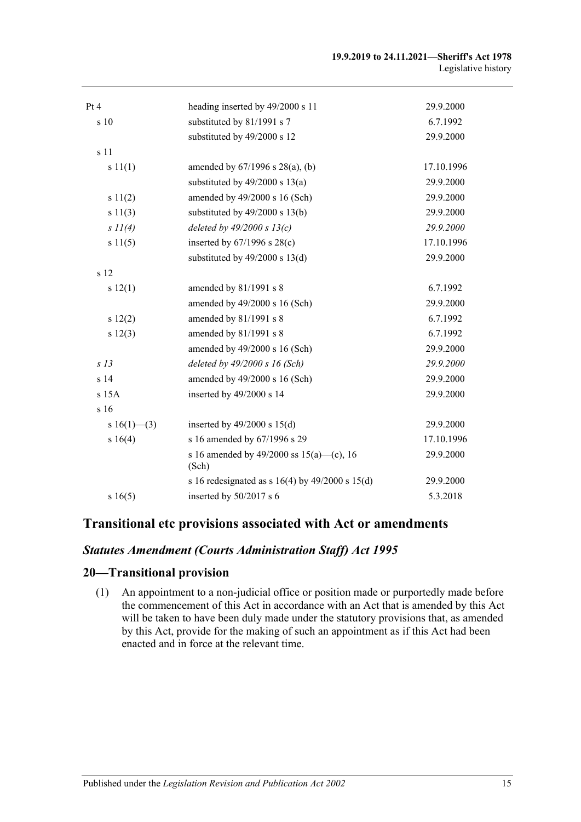| Pt 4            | heading inserted by 49/2000 s 11                      | 29.9.2000  |
|-----------------|-------------------------------------------------------|------------|
| s 10            | substituted by 81/1991 s 7                            | 6.7.1992   |
|                 | substituted by 49/2000 s 12                           | 29.9.2000  |
| s 11            |                                                       |            |
|                 |                                                       |            |
| s 11(1)         | amended by $67/1996$ s $28(a)$ , (b)                  | 17.10.1996 |
|                 | substituted by $49/2000$ s $13(a)$                    | 29.9.2000  |
| s 11(2)         | amended by 49/2000 s 16 (Sch)                         | 29.9.2000  |
| s 11(3)         | substituted by $49/2000$ s $13(b)$                    | 29.9.2000  |
| $s$ $11(4)$     | deleted by $49/2000 s 13(c)$                          | 29.9.2000  |
| s 11(5)         | inserted by $67/1996$ s $28(c)$                       | 17.10.1996 |
|                 | substituted by $49/2000$ s $13(d)$                    | 29.9.2000  |
| s 12            |                                                       |            |
| s 12(1)         | amended by 81/1991 s 8                                | 6.7.1992   |
|                 | amended by 49/2000 s 16 (Sch)                         | 29.9.2000  |
| s 12(2)         | amended by 81/1991 s 8                                | 6.7.1992   |
| s 12(3)         | amended by 81/1991 s 8                                | 6.7.1992   |
|                 | amended by 49/2000 s 16 (Sch)                         | 29.9.2000  |
| s <sub>13</sub> | deleted by $49/2000 s$ 16 (Sch)                       | 29.9.2000  |
| s <sub>14</sub> | amended by 49/2000 s 16 (Sch)                         | 29.9.2000  |
| s 15A           | inserted by 49/2000 s 14                              | 29.9.2000  |
| s 16            |                                                       |            |
| s $16(1)$ —(3)  | inserted by $49/2000$ s $15(d)$                       | 29.9.2000  |
| s 16(4)         | s 16 amended by 67/1996 s 29                          | 17.10.1996 |
|                 | s 16 amended by 49/2000 ss $15(a)$ —(c), 16<br>(Sch)  | 29.9.2000  |
|                 | s 16 redesignated as s $16(4)$ by $49/2000$ s $15(d)$ | 29.9.2000  |
| s16(5)          | inserted by 50/2017 s 6                               | 5.3.2018   |

## **Transitional etc provisions associated with Act or amendments**

### *Statutes Amendment (Courts Administration Staff) Act 1995*

## **20—Transitional provision**

(1) An appointment to a non-judicial office or position made or purportedly made before the commencement of this Act in accordance with an Act that is amended by this Act will be taken to have been duly made under the statutory provisions that, as amended by this Act, provide for the making of such an appointment as if this Act had been enacted and in force at the relevant time.